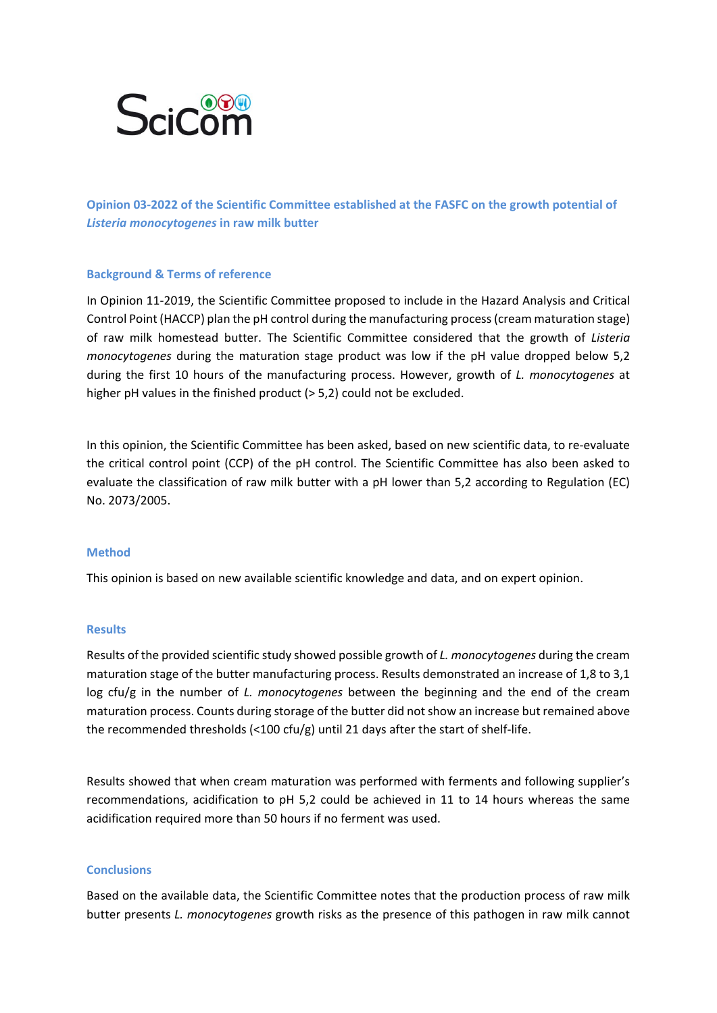

**Opinion 03-2022 of the Scientific Committee established at the FASFC on the growth potential of**  *Listeria monocytogenes* **in raw milk butter**

### **Background & Terms of reference**

In Opinion 11-2019, the Scientific Committee proposed to include in the Hazard Analysis and Critical Control Point (HACCP) plan the pH control during the manufacturing process (cream maturation stage) of raw milk homestead butter. The Scientific Committee considered that the growth of *Listeria monocytogenes* during the maturation stage product was low if the pH value dropped below 5,2 during the first 10 hours of the manufacturing process. However, growth of *L. monocytogenes* at higher pH values in the finished product (> 5,2) could not be excluded.

In this opinion, the Scientific Committee has been asked, based on new scientific data, to re-evaluate the critical control point (CCP) of the pH control. The Scientific Committee has also been asked to evaluate the classification of raw milk butter with a pH lower than 5,2 according to Regulation (EC) No. 2073/2005.

#### **Method**

This opinion is based on new available scientific knowledge and data, and on expert opinion.

#### **Results**

Results of the provided scientific study showed possible growth of *L. monocytogenes* during the cream maturation stage of the butter manufacturing process. Results demonstrated an increase of 1,8 to 3,1 log cfu/g in the number of *L. monocytogenes* between the beginning and the end of the cream maturation process. Counts during storage of the butter did not show an increase but remained above the recommended thresholds (<100 cfu/g) until 21 days after the start of shelf-life.

Results showed that when cream maturation was performed with ferments and following supplier's recommendations, acidification to pH 5,2 could be achieved in 11 to 14 hours whereas the same acidification required more than 50 hours if no ferment was used.

## **Conclusions**

Based on the available data, the Scientific Committee notes that the production process of raw milk butter presents *L. monocytogenes* growth risks as the presence of this pathogen in raw milk cannot